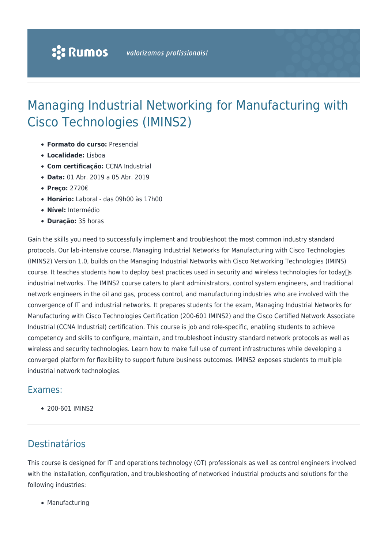# Managing Industrial Networking for Manufacturing with Cisco Technologies (IMINS2)

- **Formato do curso:** Presencial
- **Localidade:** Lisboa
- **Com certificação:** CCNA Industrial
- **Data:** 01 Abr. 2019 a 05 Abr. 2019
- **Preço:** 2720€
- **Horário:** Laboral das 09h00 às 17h00
- **Nível:** Intermédio
- **Duração:** 35 horas

Gain the skills you need to successfully implement and troubleshoot the most common industry standard protocols. Our lab-intensive course, Managing Industrial Networks for Manufacturing with Cisco Technologies (IMINS2) Version 1.0, builds on the Managing Industrial Networks with Cisco Networking Technologies (IMINS) course. It teaches students how to deploy best practices used in security and wireless technologies for today $\Box$ s industrial networks. The IMINS2 course caters to plant administrators, control system engineers, and traditional network engineers in the oil and gas, process control, and manufacturing industries who are involved with the convergence of IT and industrial networks. It prepares students for the exam, Managing Industrial Networks for Manufacturing with Cisco Technologies Certification (200-601 IMINS2) and the Cisco Certified Network Associate Industrial (CCNA Industrial) certification. This course is job and role-specific, enabling students to achieve competency and skills to configure, maintain, and troubleshoot industry standard network protocols as well as wireless and security technologies. Learn how to make full use of current infrastructures while developing a converged platform for flexibility to support future business outcomes. IMINS2 exposes students to multiple industrial network technologies.

#### Exames:

200-601 IMINS2

### Destinatários

This course is designed for IT and operations technology (OT) professionals as well as control engineers involved with the installation, configuration, and troubleshooting of networked industrial products and solutions for the following industries:

• Manufacturing